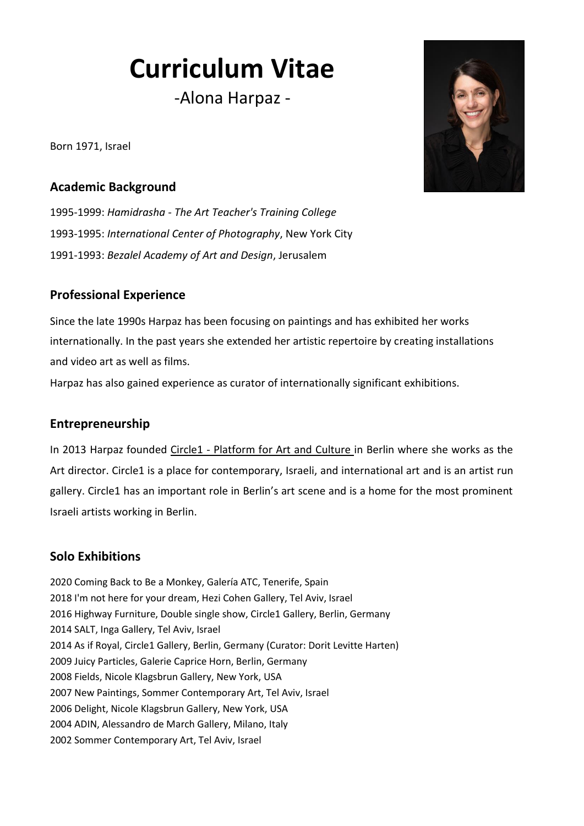# **Curriculum Vitae**

-Alona Harpaz -

Born 1971, Israel

#### **Academic Background**

1995-1999: *Hamidrasha - The Art Teacher's Training College* 1993-1995: *International Center of Photography*, [New York City](https://de.wikipedia.org/wiki/New_York_City) 1991-1993: *Bezalel Academy of Art and Design*, Jerusalem

## **Professional Experience**

Since the late 1990s Harpaz has been focusing on paintings and has exhibited her works internationally. In the past years she extended her artistic repertoire by creating installations and video art as well as films.

Harpaz has also gained experience as curator of internationally significant exhibitions.

#### **Entrepreneurship**

In 2013 Harpaz founded Circle1 - Platform for [Art and Culture i](http://www.circle1berlin.com/)n Berlin where she works as the Art director. Circle1 is a place for contemporary, Israeli, and international art and is an artist run gallery. Circle1 has an important role in Berlin's art scene and is a home for the most prominent Israeli artists working in Berlin.

# **Solo Exhibitions**

2020 Coming Back to Be a Monkey, Galería ATC, Tenerife, Spain 2018 I'm not here for your dream, Hezi Cohen Gallery, Tel Aviv, Israel 2016 Highway Furniture, Double single show, Circle1 Gallery, Berlin, Germany 2014 SALT, Inga Gallery, Tel Aviv, Israel 2014 As if Royal, Circle1 Gallery, Berlin, Germany (Curator: Dorit Levitte Harten) 2009 Juicy Particles, Galerie Caprice Horn, Berlin, Germany 2008 Fields, Nicole Klagsbrun Gallery, New York, USA 2007 New Paintings, Sommer Contemporary Art, Tel Aviv, Israel 2006 Delight, Nicole Klagsbrun Gallery, New York, USA 2004 ADIN, Alessandro de March Gallery, Milano, Italy 2002 Sommer Contemporary Art, Tel Aviv, Israel

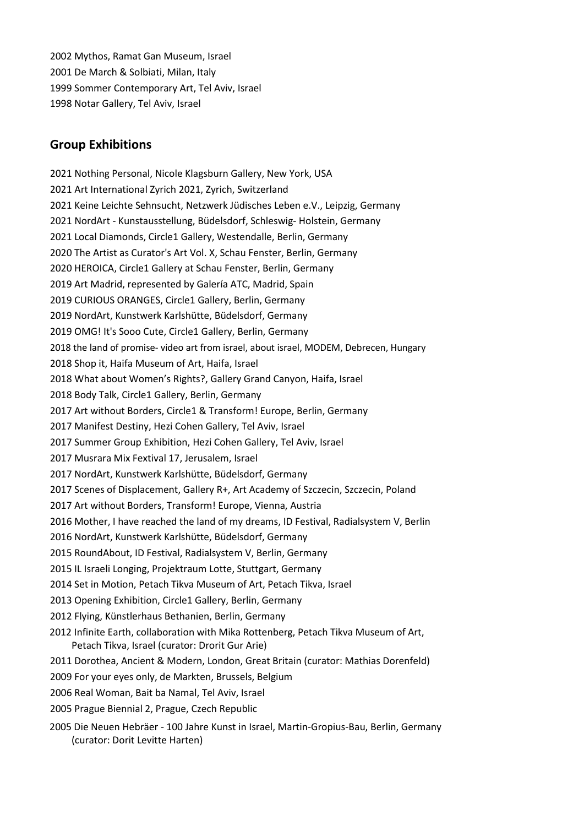2002 Mythos, Ramat Gan Museum, Israel 2001 De March & Solbiati, Milan, Italy 1999 Sommer Contemporary Art, Tel Aviv, Israel 1998 Notar Gallery, Tel Aviv, Israel

#### **Group Exhibitions**

2021 Nothing Personal, Nicole Klagsburn Gallery, New York, USA 2021 Art International Zyrich 2021, Zyrich, Switzerland 2021 Keine Leichte Sehnsucht, Netzwerk Jüdisches Leben e.V., Leipzig, Germany 2021 NordArt - Kunstausstellung, Büdelsdorf, Schleswig- Holstein, Germany 2021 Local Diamonds, Circle1 Gallery, Westendalle, Berlin, Germany 2020 The Artist as Curator's Art Vol. X, Schau Fenster, Berlin, Germany 2020 HEROICA, Circle1 Gallery at Schau Fenster, Berlin, Germany 2019 Art Madrid, represented by Galería ATC, Madrid, Spain 2019 CURIOUS ORANGES, Circle1 Gallery, Berlin, Germany 2019 NordArt, Kunstwerk Karlshütte, Büdelsdorf, Germany 2019 OMG! It's Sooo Cute, Circle1 Gallery, Berlin, Germany 2018 the land of promise- video art from israel, about israel, MODEM, Debrecen, Hungary 2018 Shop it, Haifa Museum of Art, Haifa, Israel 2018 What about Women's Rights?, Gallery Grand Canyon, Haifa, Israel 2018 Body Talk, Circle1 Gallery, Berlin, Germany 2017 Art without Borders, Circle1 & Transform! Europe, Berlin, Germany 2017 Manifest Destiny, Hezi Cohen Gallery, Tel Aviv, Israel 2017 Summer Group Exhibition, Hezi Cohen Gallery, Tel Aviv, Israel 2017 Musrara Mix Fextival 17, Jerusalem, Israel 2017 NordArt, Kunstwerk Karlshütte, Büdelsdorf, Germany 2017 Scenes of Displacement, Gallery R+, Art Academy of Szczecin, Szczecin, Poland 2017 Art without Borders, Transform! Europe, Vienna, Austria 2016 Mother, I have reached the land of my dreams, ID Festival, Radialsystem V, Berlin 2016 NordArt, Kunstwerk Karlshütte, Büdelsdorf, Germany 2015 RoundAbout, ID Festival, Radialsystem V, Berlin, Germany 2015 IL Israeli Longing, Projektraum Lotte, Stuttgart, Germany 2014 Set in Motion, Petach Tikva Museum of Art, Petach Tikva, Israel 2013 Opening Exhibition, Circle1 Gallery, Berlin, Germany 2012 Flying, Künstlerhaus Bethanien, Berlin, Germany 2012 Infinite Earth, collaboration with Mika Rottenberg, Petach Tikva Museum of Art, Petach Tikva, Israel (curator: Drorit Gur Arie) 2011 Dorothea, Ancient & Modern, London, Great Britain (curator: Mathias Dorenfeld) 2009 For your eyes only, de Markten, Brussels, Belgium 2006 Real Woman, Bait ba Namal, Tel Aviv, Israel 2005 Prague Biennial 2, Prague, Czech Republic 2005 Die Neuen Hebräer - 100 Jahre Kunst in Israel, Martin-Gropius-Bau, Berlin, Germany

(curator: Dorit Levitte Harten)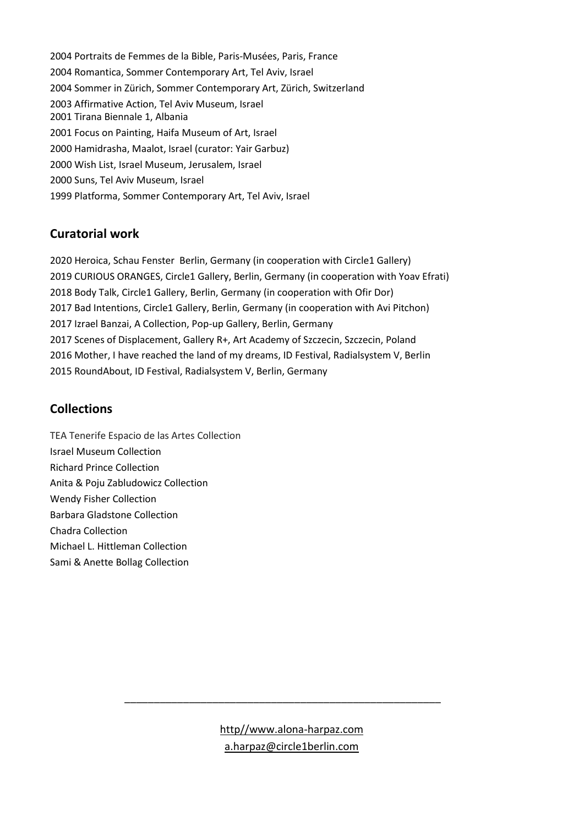2004 Portraits de Femmes de la Bible, Paris-Musées, Paris, France 2004 Romantica, Sommer Contemporary Art, Tel Aviv, Israel 2004 Sommer in Zürich, Sommer Contemporary Art, Zürich, Switzerland 2003 Affirmative Action, Tel Aviv Museum, Israel 2001 Tirana Biennale 1, Albania 2001 Focus on Painting, Haifa Museum of Art, Israel 2000 Hamidrasha, Maalot, Israel (curator: Yair Garbuz) 2000 Wish List, Israel Museum, Jerusalem, Israel 2000 Suns, Tel Aviv Museum, Israel 1999 Platforma, Sommer Contemporary Art, Tel Aviv, Israel

## **Curatorial work**

2020 Heroica, Schau Fenster Berlin, Germany (in cooperation with Circle1 Gallery) 2019 CURIOUS ORANGES, Circle1 Gallery, Berlin, Germany (in cooperation with Yoav Efrati) 2018 Body Talk, Circle1 Gallery, Berlin, Germany (in cooperation with Ofir Dor) 2017 Bad Intentions, Circle1 Gallery, Berlin, Germany (in cooperation with Avi Pitchon) 2017 Izrael Banzai, A Collection, Pop-up Gallery, Berlin, Germany 2017 Scenes of Displacement, Gallery R+, Art Academy of Szczecin, Szczecin, Poland 2016 Mother, I have reached the land of my dreams, ID Festival, Radialsystem V, Berlin 2015 RoundAbout, ID Festival, Radialsystem V, Berlin, Germany

# **Collections**

TEA Tenerife Espacio de las Artes Collection Israel Museum Collection Richard Prince Collection Anita & Poju Zabludowicz Collection Wendy Fisher Collection Barbara Gladstone Collection Chadra Collection Michael L. Hittleman Collection Sami & Anette Bollag Collection

> [http//www.alona-harpaz.com](http://www.alona-harpaz.com/) [a.harpaz@circle1berlin.com](mailto:a.harpaz@circle1berlin.com)

\_\_\_\_\_\_\_\_\_\_\_\_\_\_\_\_\_\_\_\_\_\_\_\_\_\_\_\_\_\_\_\_\_\_\_\_\_\_\_\_\_\_\_\_\_\_\_\_\_\_\_\_\_\_